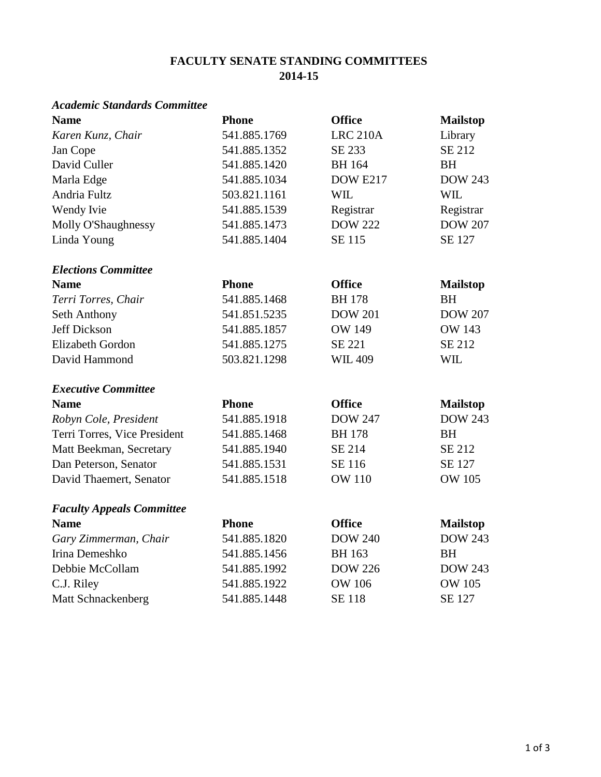### **FACULTY SENATE STANDING COMMITTEES 2014-15**

### *Academic Standards Committee*

| <b>Name</b>                      | <b>Phone</b> | <b>Office</b>   | <b>Mailstop</b> |
|----------------------------------|--------------|-----------------|-----------------|
| Karen Kunz, Chair                | 541.885.1769 | <b>LRC 210A</b> | Library         |
| Jan Cope                         | 541.885.1352 | SE 233          | <b>SE 212</b>   |
| David Culler                     | 541.885.1420 | <b>BH</b> 164   | <b>BH</b>       |
| Marla Edge                       | 541.885.1034 | <b>DOW E217</b> | <b>DOW 243</b>  |
| Andria Fultz                     | 503.821.1161 | <b>WIL</b>      | <b>WIL</b>      |
| Wendy Ivie                       | 541.885.1539 | Registrar       | Registrar       |
| Molly O'Shaughnessy              | 541.885.1473 | <b>DOW 222</b>  | <b>DOW 207</b>  |
| Linda Young                      | 541.885.1404 | <b>SE 115</b>   | <b>SE 127</b>   |
| <b>Elections Committee</b>       |              |                 |                 |
| <b>Name</b>                      | <b>Phone</b> | <b>Office</b>   | <b>Mailstop</b> |
| Terri Torres, Chair              | 541.885.1468 | <b>BH178</b>    | <b>BH</b>       |
| Seth Anthony                     | 541.851.5235 | <b>DOW 201</b>  | <b>DOW 207</b>  |
| Jeff Dickson                     | 541.885.1857 | <b>OW 149</b>   | <b>OW 143</b>   |
| <b>Elizabeth Gordon</b>          | 541.885.1275 | <b>SE 221</b>   | <b>SE 212</b>   |
| David Hammond                    | 503.821.1298 | <b>WIL 409</b>  | <b>WIL</b>      |
| <b>Executive Committee</b>       |              |                 |                 |
| <b>Name</b>                      | <b>Phone</b> | <b>Office</b>   | <b>Mailstop</b> |
| Robyn Cole, President            | 541.885.1918 | <b>DOW 247</b>  | <b>DOW 243</b>  |
| Terri Torres, Vice President     | 541.885.1468 | <b>BH178</b>    | <b>BH</b>       |
| Matt Beekman, Secretary          | 541.885.1940 | SE 214          | SE 212          |
| Dan Peterson, Senator            | 541.885.1531 | SE 116          | SE 127          |
| David Thaemert, Senator          | 541.885.1518 | <b>OW 110</b>   | <b>OW 105</b>   |
| <b>Faculty Appeals Committee</b> |              |                 |                 |
| <b>Name</b>                      | <b>Phone</b> | <b>Office</b>   | <b>Mailstop</b> |
| Gary Zimmerman, Chair            | 541.885.1820 | <b>DOW 240</b>  | <b>DOW 243</b>  |
| Irina Demeshko                   | 541.885.1456 | <b>BH</b> 163   | <b>BH</b>       |
| Debbie McCollam                  | 541.885.1992 | <b>DOW 226</b>  | <b>DOW 243</b>  |
| C.J. Riley                       | 541.885.1922 | <b>OW 106</b>   | <b>OW 105</b>   |
| Matt Schnackenberg               | 541.885.1448 | <b>SE 118</b>   | <b>SE 127</b>   |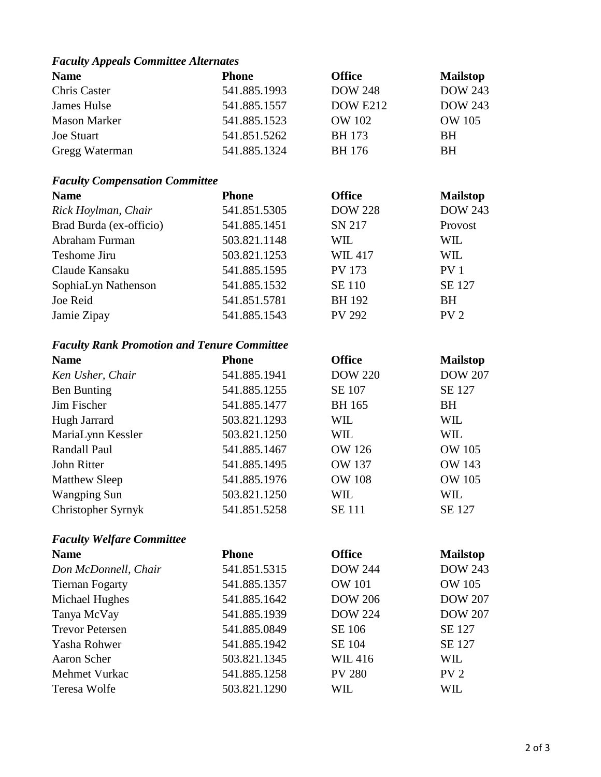## *Faculty Appeals Committee Alternates*

| <b>Name</b>         | <b>Phone</b> | <b>Office</b>   | <b>Mailstop</b> |
|---------------------|--------------|-----------------|-----------------|
| Chris Caster        | 541.885.1993 | <b>DOW 248</b>  | <b>DOW 243</b>  |
| James Hulse         | 541.885.1557 | <b>DOW E212</b> | <b>DOW 243</b>  |
| <b>Mason Marker</b> | 541.885.1523 | <b>OW 102</b>   | <b>OW 105</b>   |
| <b>Joe Stuart</b>   | 541.851.5262 | <b>BH</b> 173   | <b>BH</b>       |
| Gregg Waterman      | 541.885.1324 | BH 176          | <b>BH</b>       |

# *Faculty Compensation Committee*

| <b>Name</b>             | <b>Phone</b> | <b>Office</b>  | <b>Mailstop</b> |
|-------------------------|--------------|----------------|-----------------|
| Rick Hoylman, Chair     | 541.851.5305 | <b>DOW 228</b> | <b>DOW 243</b>  |
| Brad Burda (ex-officio) | 541.885.1451 | SN 217         | Provost         |
| Abraham Furman          | 503.821.1148 | WIL            | WIL             |
| Teshome Jiru            | 503.821.1253 | <b>WIL417</b>  | <b>WIL</b>      |
| Claude Kansaku          | 541.885.1595 | <b>PV 173</b>  | PV <sub>1</sub> |
| SophiaLyn Nathenson     | 541.885.1532 | <b>SE 110</b>  | SE 127          |
| Joe Reid                | 541.851.5781 | <b>BH</b> 192  | <b>BH</b>       |
| Jamie Zipay             | 541.885.1543 | <b>PV 292</b>  | PV <sub>2</sub> |

## *Faculty Rank Promotion and Tenure Committee*

| <b>Name</b>          | <b>Phone</b> | <b>Office</b>  | <b>Mailstop</b> |
|----------------------|--------------|----------------|-----------------|
| Ken Usher, Chair     | 541.885.1941 | <b>DOW 220</b> | <b>DOW 207</b>  |
| Ben Bunting          | 541.885.1255 | <b>SE 107</b>  | SE 127          |
| Jim Fischer          | 541.885.1477 | <b>BH</b> 165  | BH              |
| Hugh Jarrard         | 503.821.1293 | WIL            | WIL             |
| MariaLynn Kessler    | 503.821.1250 | WIL            | WIL             |
| Randall Paul         | 541.885.1467 | <b>OW 126</b>  | <b>OW 105</b>   |
| John Ritter          | 541.885.1495 | <b>OW 137</b>  | <b>OW 143</b>   |
| <b>Matthew Sleep</b> | 541.885.1976 | <b>OW 108</b>  | <b>OW 105</b>   |
| <b>Wangping Sun</b>  | 503.821.1250 | WIL            | WIL             |
| Christopher Syrnyk   | 541.851.5258 | <b>SE</b> 111  | SE 127          |

### *Faculty Welfare Committee*

| <b>Name</b>            | <b>Phone</b> | <b>Office</b>  | <b>Mailstop</b> |
|------------------------|--------------|----------------|-----------------|
| Don McDonnell, Chair   | 541.851.5315 | <b>DOW 244</b> | <b>DOW 243</b>  |
| <b>Tiernan Fogarty</b> | 541.885.1357 | <b>OW 101</b>  | <b>OW 105</b>   |
| Michael Hughes         | 541.885.1642 | <b>DOW 206</b> | <b>DOW 207</b>  |
| Tanya McVay            | 541.885.1939 | <b>DOW 224</b> | <b>DOW 207</b>  |
| <b>Trevor Petersen</b> | 541.885.0849 | SE 106         | SE 127          |
| Yasha Rohwer           | 541.885.1942 | SE 104         | SE 127          |
| Aaron Scher            | 503.821.1345 | <b>WIL416</b>  | WIL             |
| Mehmet Vurkac          | 541.885.1258 | <b>PV 280</b>  | PV <sub>2</sub> |
| Teresa Wolfe           | 503.821.1290 | WIL            | WIL             |